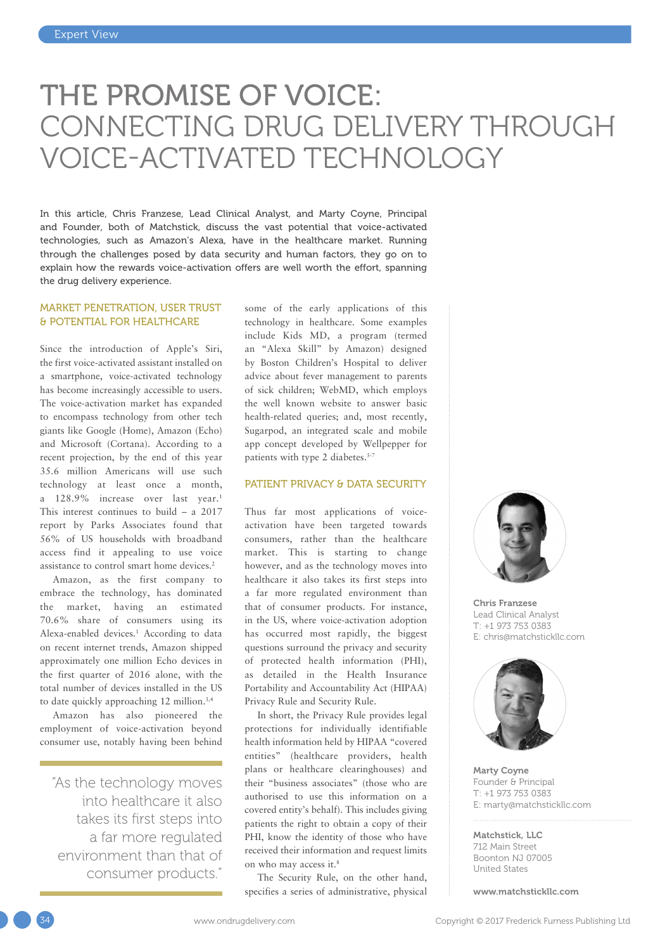# THE PROMISE OF VOICE: CONNECTING DRUG DELIVERY THROUGH VOICE-ACTIVATED TECHNOLOGY

In this article, Chris Franzese, Lead Clinical Analyst, and Marty Coyne, Principal and Founder, both of Matchstick, discuss the vast potential that voice-activated technologies, such as Amazon's Alexa, have in the healthcare market. Running through the challenges posed by data security and human factors, they go on to explain how the rewards voice-activation offers are well worth the effort, spanning the drug delivery experience.

# MARKET PENETRATION, USER TRUST & POTENTIAL FOR HEALTHCARE

Since the introduction of Apple's Siri, the first voice-activated assistant installed on a smartphone, voice-activated technology has become increasingly accessible to users. The voice-activation market has expanded to encompass technology from other tech giants like Google (Home), Amazon (Echo) and Microsoft (Cortana). According to a recent projection, by the end of this year 35.6 million Americans will use such technology at least once a month, a 128.9% increase over last year.1 This interest continues to build – a 2017 report by Parks Associates found that 56% of US households with broadband access find it appealing to use voice assistance to control smart home devices.2

Amazon, as the first company to embrace the technology, has dominated the market, having an estimated 70.6% share of consumers using its Alexa-enabled devices.<sup>1</sup> According to data on recent internet trends, Amazon shipped approximately one million Echo devices in the first quarter of 2016 alone, with the total number of devices installed in the US to date quickly approaching 12 million.<sup>3,4</sup>

Amazon has also pioneered the employment of voice-activation beyond consumer use, notably having been behind

"As the technology moves into healthcare it also takes its first steps into a far more regulated environment than that of consumer products."

some of the early applications of this technology in healthcare. Some examples include Kids MD, a program (termed an "Alexa Skill" by Amazon) designed by Boston Children's Hospital to deliver advice about fever management to parents of sick children; WebMD, which employs the well known website to answer basic health-related queries; and, most recently, Sugarpod, an integrated scale and mobile app concept developed by Wellpepper for patients with type 2 diabetes.<sup>5-7</sup>

## PATIENT PRIVACY & DATA SECURITY

Thus far most applications of voiceactivation have been targeted towards consumers, rather than the healthcare market. This is starting to change however, and as the technology moves into healthcare it also takes its first steps into a far more regulated environment than that of consumer products. For instance, in the US, where voice-activation adoption has occurred most rapidly, the biggest questions surround the privacy and security of protected health information (PHI), as detailed in the Health Insurance Portability and Accountability Act (HIPAA) Privacy Rule and Security Rule.

In short, the Privacy Rule provides legal protections for individually identifiable health information held by HIPAA "covered entities" (healthcare providers, health plans or healthcare clearinghouses) and their "business associates" (those who are authorised to use this information on a covered entity's behalf). This includes giving patients the right to obtain a copy of their PHI, know the identity of those who have received their information and request limits on who may access it.8

The Security Rule, on the other hand, specifies a series of administrative, physical



Chris Franzese Lead Clinical Analyst T: +1 973 753 0383 E: [chris@matchstickllc.com](mailto:chris@matchstickllc.com)



Marty Coyne Founder & Principal T: +1 973 753 0383 E: [marty@matchstickllc.com](mailto:marty@matchstickllc.com)

Matchstick, LLC 712 Main Street Boonton NJ 07005 United States

[www.matchstickllc.com](http://www.matchstickllc.com)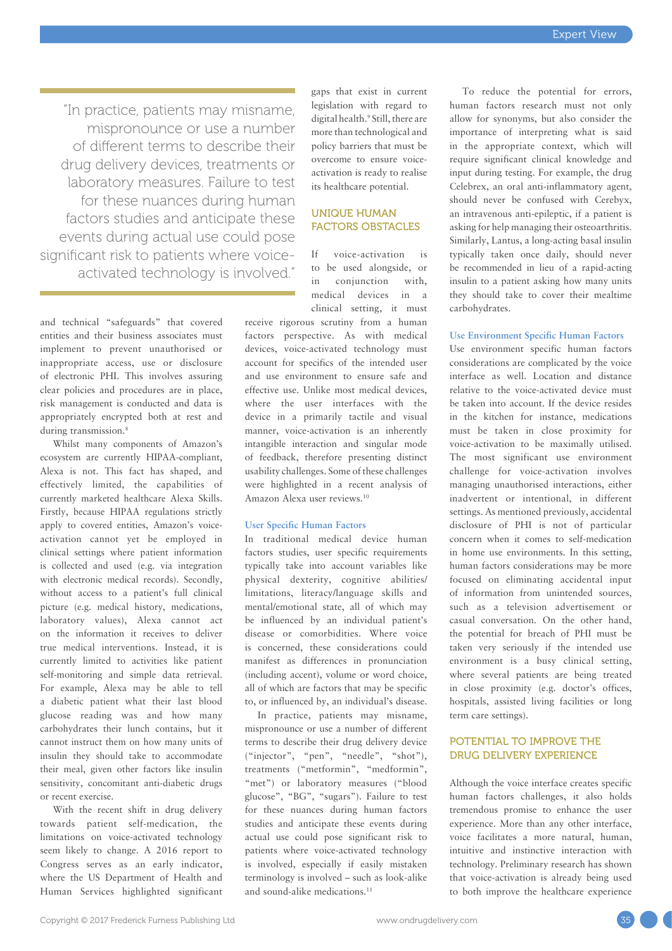"In practice, patients may misname, mispronounce or use a number of different terms to describe their drug delivery devices, treatments or laboratory measures. Failure to test for these nuances during human factors studies and anticipate these events during actual use could pose significant risk to patients where voiceactivated technology is involved."

and technical "safeguards" that covered entities and their business associates must implement to prevent unauthorised or inappropriate access, use or disclosure of electronic PHI. This involves assuring clear policies and procedures are in place, risk management is conducted and data is appropriately encrypted both at rest and during transmission.<sup>8</sup>

Whilst many components of Amazon's ecosystem are currently HIPAA-compliant, Alexa is not. This fact has shaped, and effectively limited, the capabilities of currently marketed healthcare Alexa Skills. Firstly, because HIPAA regulations strictly apply to covered entities, Amazon's voiceactivation cannot yet be employed in clinical settings where patient information is collected and used (e.g. via integration with electronic medical records). Secondly, without access to a patient's full clinical picture (e.g. medical history, medications, laboratory values), Alexa cannot act on the information it receives to deliver true medical interventions. Instead, it is currently limited to activities like patient self-monitoring and simple data retrieval. For example, Alexa may be able to tell a diabetic patient what their last blood glucose reading was and how many carbohydrates their lunch contains, but it cannot instruct them on how many units of insulin they should take to accommodate their meal, given other factors like insulin sensitivity, concomitant anti-diabetic drugs or recent exercise.

With the recent shift in drug delivery towards patient self-medication, the limitations on voice-activated technology seem likely to change. A 2016 report to Congress serves as an early indicator, where the US Department of Health and Human Services highlighted significant gaps that exist in current legislation with regard to digital health.9 Still, there are more than technological and policy barriers that must be overcome to ensure voiceactivation is ready to realise its healthcare potential.

# UNIQUE HUMAN FACTORS OBSTACLES

If voice-activation is to be used alongside, or in conjunction with, medical devices in a clinical setting, it must

receive rigorous scrutiny from a human factors perspective. As with medical devices, voice-activated technology must account for specifics of the intended user and use environment to ensure safe and effective use. Unlike most medical devices, where the user interfaces with the device in a primarily tactile and visual manner, voice-activation is an inherently intangible interaction and singular mode of feedback, therefore presenting distinct usability challenges. Some of these challenges were highlighted in a recent analysis of Amazon Alexa user reviews.10

# **User Specific Human Factors**

In traditional medical device human factors studies, user specific requirements typically take into account variables like physical dexterity, cognitive abilities/ limitations, literacy/language skills and mental/emotional state, all of which may be influenced by an individual patient's disease or comorbidities. Where voice is concerned, these considerations could manifest as differences in pronunciation (including accent), volume or word choice, all of which are factors that may be specific to, or influenced by, an individual's disease.

In practice, patients may misname, mispronounce or use a number of different terms to describe their drug delivery device ("injector", "pen", "needle", "shot"), treatments ("metformin", "medformin", "met") or laboratory measures ("blood glucose", "BG", "sugars"). Failure to test for these nuances during human factors studies and anticipate these events during actual use could pose significant risk to patients where voice-activated technology is involved, especially if easily mistaken terminology is involved – such as look-alike and sound-alike medications.<sup>11</sup>

To reduce the potential for errors, human factors research must not only allow for synonyms, but also consider the importance of interpreting what is said in the appropriate context, which will require significant clinical knowledge and input during testing. For example, the drug Celebrex, an oral anti-inflammatory agent, should never be confused with Cerebyx, an intravenous anti-epileptic, if a patient is asking for help managing their osteoarthritis. Similarly, Lantus, a long-acting basal insulin typically taken once daily, should never be recommended in lieu of a rapid-acting insulin to a patient asking how many units they should take to cover their mealtime carbohydrates.

#### **Use Environment Specific Human Factors**

Use environment specific human factors considerations are complicated by the voice interface as well. Location and distance relative to the voice-activated device must be taken into account. If the device resides in the kitchen for instance, medications must be taken in close proximity for voice-activation to be maximally utilised. The most significant use environment challenge for voice-activation involves managing unauthorised interactions, either inadvertent or intentional, in different settings. As mentioned previously, accidental disclosure of PHI is not of particular concern when it comes to self-medication in home use environments. In this setting, human factors considerations may be more focused on eliminating accidental input of information from unintended sources, such as a television advertisement or casual conversation. On the other hand, the potential for breach of PHI must be taken very seriously if the intended use environment is a busy clinical setting, where several patients are being treated in close proximity (e.g. doctor's offices, hospitals, assisted living facilities or long term care settings).

# POTENTIAL TO IMPROVE THE DRUG DELIVERY EXPERIENCE

Although the voice interface creates specific human factors challenges, it also holds tremendous promise to enhance the user experience. More than any other interface, voice facilitates a more natural, human, intuitive and instinctive interaction with technology. Preliminary research has shown that voice-activation is already being used to both improve the healthcare experience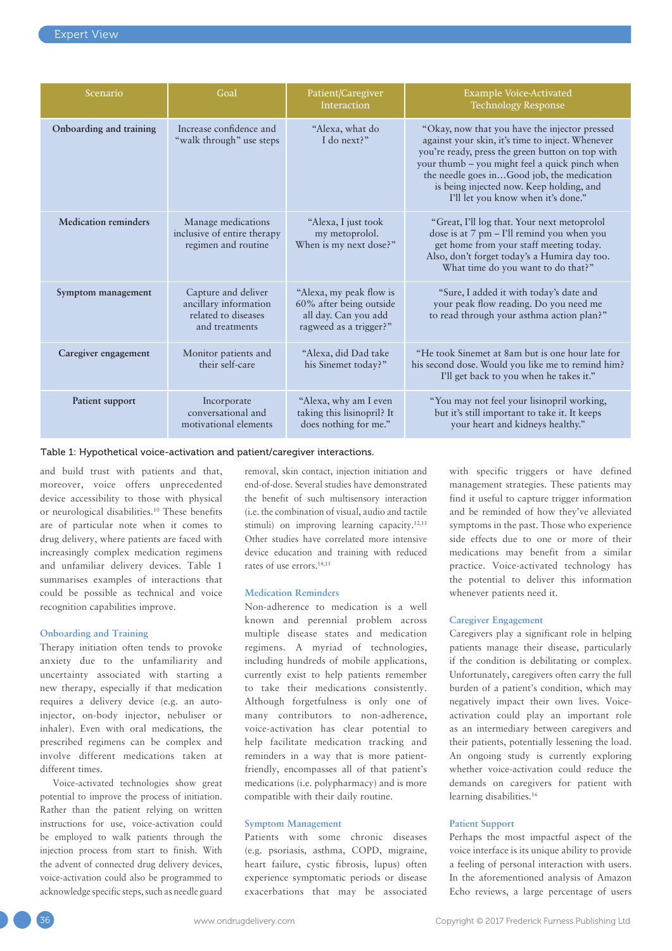| Scenario                    | Goal                                                                                  | Patient/Caregiver<br>Interaction                                                                     | <b>Example Voice-Activated</b><br><b>Technology Response</b>                                                                                                                                                                                                                                                                            |
|-----------------------------|---------------------------------------------------------------------------------------|------------------------------------------------------------------------------------------------------|-----------------------------------------------------------------------------------------------------------------------------------------------------------------------------------------------------------------------------------------------------------------------------------------------------------------------------------------|
| Onboarding and training     | Increase confidence and<br>"walk through" use steps                                   | "Alexa, what do<br>I do next?"                                                                       | "Okay, now that you have the injector pressed<br>against your skin, it's time to inject. Whenever<br>you're ready, press the green button on top with<br>your thumb - you might feel a quick pinch when<br>the needle goes inGood job, the medication<br>is being injected now. Keep holding, and<br>I'll let you know when it's done." |
| <b>Medication reminders</b> | Manage medications<br>inclusive of entire therapy<br>regimen and routine              | "Alexa, I just took"<br>my metoprolol.<br>When is my next dose?"                                     | "Great, I'll log that. Your next metoprolol<br>dose is at 7 pm - I'll remind you when you<br>get home from your staff meeting today.<br>Also, don't forget today's a Humira day too.<br>What time do you want to do that?"                                                                                                              |
| Symptom management          | Capture and deliver<br>ancillary information<br>related to diseases<br>and treatments | "Alexa, my peak flow is<br>60% after being outside<br>all day. Can you add<br>ragweed as a trigger?" | "Sure, I added it with today's date and<br>your peak flow reading. Do you need me<br>to read through your asthma action plan?"                                                                                                                                                                                                          |
| Caregiver engagement        | Monitor patients and<br>their self-care                                               | "Alexa, did Dad take<br>his Sinemet today?"                                                          | "He took Sinemet at 8am but is one hour late for<br>his second dose. Would you like me to remind him?<br>I'll get back to you when he takes it."                                                                                                                                                                                        |
| Patient support             | Incorporate<br>conversational and<br>motivational elements                            | "Alexa, why am I even<br>taking this lisinopril? It<br>does nothing for me."                         | "You may not feel your lisinopril working,<br>but it's still important to take it. It keeps<br>your heart and kidneys healthy."                                                                                                                                                                                                         |

Table 1: Hypothetical voice-activation and patient/caregiver interactions.

and build trust with patients and that, moreover, voice offers unprecedented device accessibility to those with physical or neurological disabilities.10 These benefits are of particular note when it comes to drug delivery, where patients are faced with increasingly complex medication regimens and unfamiliar delivery devices. Table 1 summarises examples of interactions that could be possible as technical and voice recognition capabilities improve.

#### **Onboarding and Training**

Therapy initiation often tends to provoke anxiety due to the unfamiliarity and uncertainty associated with starting a new therapy, especially if that medication requires a delivery device (e.g. an autoinjector, on-body injector, nebuliser or inhaler). Even with oral medications, the prescribed regimens can be complex and involve different medications taken at different times.

Voice-activated technologies show great potential to improve the process of initiation. Rather than the patient relying on written instructions for use, voice-activation could be employed to walk patients through the injection process from start to finish. With the advent of connected drug delivery devices, voice-activation could also be programmed to acknowledge specific steps, such as needle guard removal, skin contact, injection initiation and end-of-dose. Several studies have demonstrated the benefit of such multisensory interaction (i.e. the combination of visual, audio and tactile stimuli) on improving learning capacity.<sup>12,13</sup> Other studies have correlated more intensive device education and training with reduced rates of use errors.14,15

#### **Medication Reminders**

Non-adherence to medication is a well known and perennial problem across multiple disease states and medication regimens. A myriad of technologies, including hundreds of mobile applications, currently exist to help patients remember to take their medications consistently. Although forgetfulness is only one of many contributors to non-adherence, voice-activation has clear potential to help facilitate medication tracking and reminders in a way that is more patientfriendly, encompasses all of that patient's medications (i.e. polypharmacy) and is more compatible with their daily routine.

# **Symptom Management**

Patients with some chronic diseases (e.g. psoriasis, asthma, COPD, migraine, heart failure, cystic fibrosis, lupus) often experience symptomatic periods or disease exacerbations that may be associated with specific triggers or have defined management strategies. These patients may find it useful to capture trigger information and be reminded of how they've alleviated symptoms in the past. Those who experience side effects due to one or more of their medications may benefit from a similar practice. Voice-activated technology has the potential to deliver this information whenever patients need it.

#### **Caregiver Engagement**

Caregivers play a significant role in helping patients manage their disease, particularly if the condition is debilitating or complex. Unfortunately, caregivers often carry the full burden of a patient's condition, which may negatively impact their own lives. Voiceactivation could play an important role as an intermediary between caregivers and their patients, potentially lessening the load. An ongoing study is currently exploring whether voice-activation could reduce the demands on caregivers for patient with learning disabilities.16

#### **Patient Support**

Perhaps the most impactful aspect of the voice interface is its unique ability to provide a feeling of personal interaction with users. In the aforementioned analysis of Amazon Echo reviews, a large percentage of users